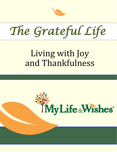

*The Grateful Life* 

# Living with Joy and Thankfulness

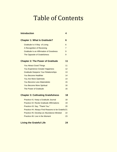## Table of Contents

| <b>Introduction</b>                               | 4              |
|---------------------------------------------------|----------------|
| <b>Chapter 1: What Is Gratitude?</b>              | 6              |
| Gratitude Is A Way of Living                      | 6              |
| A Recognition of Receiving                        | $\overline{7}$ |
| <b>Gratitude Is an Affirmation of Goodness</b>    | 9              |
| <b>The Opposite of Gratefulness</b>               | 9              |
| <b>Chapter 2: The Power of Gratitude</b>          | 11             |
| <b>You Attract Good Things</b>                    | 11             |
| <b>You Experience Greater Happiness</b>           | 12             |
| <b>Gratitude Deepens Your Relationships</b>       | 13             |
| You Become Healthier                              | 14             |
| <b>You Are More Optimistic</b>                    | 14             |
| <b>You Become Less Materialistic</b>              | 15             |
| <b>You Become More Spiritual</b>                  | 16             |
| <b>The Power of Gratitude</b>                     | 16             |
| <b>Chapter 3: Cultivating Gratefulness</b>        | 18             |
| Practice #1: Keep a Gratitude Journal             | 18             |
| Practice #2: Recite Gratitude Affirmations        | 19             |
| Practice #3: Say, "Thank You."                    | 20             |
| Practice #4: Always Find Reasons to be Grateful21 |                |
| Practice #5: Develop an Abundance Mindset         | 22             |
| Practice #6: Live in the Moment                   | 23             |

#### **Living the Grateful Life 24**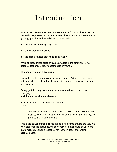## Introduction

What is the difference between someone who is full of joy, has a zest for life, and always seems to have a smile on their face, and someone who is grumpy, grouchy, and a total drain to be around?

Is it the amount of money they have?

Is it simply their personalities?

Is it the circumstances they're going through?

While all those things certainly can play a role in the amount of joy a person experiences, they're not the primary factor.

#### **The primary factor is gratitude.**

Gratitude has the power to change any situation. Actually, a better way of putting it is that gratitude has the power to change the way we *experience* any situation.

#### **Being grateful may not change your circumstances, but it does change you, and that makes all the difference.**

Sonja Lyubomirsky put it beautifully when she said:

> *Gratitude is an antidote to negative emotions, a neutralizer of envy, hostility, worry, and irritation. It is savoring; it is not taking things for granted; it is present-oriented.*

This is the power of thankfulness. It has the power to change the very way we experience life. It can neutralize negative emotions and enable us to learn incredibly valuable lessons even in the midst of challenging circumstances.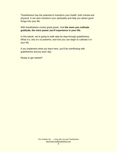Thankfulness has the potential to transform your health, both mental and physical. It can also transform your spirituality and help you attract good things into your life.

With thankfulness comes great power. And **the more you cultivate gratitude, the more power you'll experience in your life.**

In this ebook, we're going to walk step-by-step through gratefulness. What it is, why it's so powerful, and how you can begin to cultivate it in your life.

If you implement what you learn here, you'll be overflowing with gratefulness and joy each day.

Ready to get started?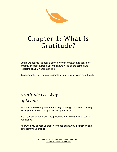R

## Chapter 1: What Is Gratitude?

Before we get into the details of the *power* of gratitude and *how* to be grateful, let's take a step back and ensure we're on the same page regarding exactly what gratitude is.

It's important to have a clear understanding of what it is and how it works.

### *Gratitude Is A Way of Living*

**First and foremost, gratitude is a way of living.** It is a state of being in which you open yourself up to *receive* good things.

It is a posture of openness, receptiveness, and willingness to receive abundance.

And when you do receive those very good things, you instinctively and consistently give thanks.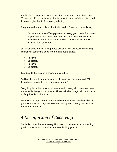In other words, gratitude is not a one-time event where you simply say, "Thank you." It's an entire way of being in which you joyfully receive good things and give thanks for those good things.

The great author and philosopher Ralph Waldo Emerson put it this way:

*Cultivate the habit of being grateful for every good thing that comes to you, and to give thanks continuously. And because all things have contributed to your advancement, you should include all things in your gratitude.*

So, gratitude is a habit. It's a perpetual way of life, almost like breathing. You take in something good and breathe out gratitude.

- Receive
- Be grateful
- Receive
- Be grateful

It's a beautiful cycle and a powerful way to live.

Additionally, gratitude encompasses all things. As Emerson said, "All things have contributed to your advancement."

Everything in life happens for a reason, and in every circumstance, there are valuable things for us to learn. These valuable things help us *advance* in life, primarily in character.

Because all things contribute to our advancement, we must live a life of gratefulness for all things that come our way (good or bad). We'll cover that later in the book.

### *A Recognition of Receiving*

Gratitude comes from the recognition that you have *received* something good. In other words, you didn't create this thing yourself.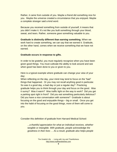Rather, it came from outside of you. Maybe a friend did something nice for you. Maybe the universe created a circumstance that you enjoyed. Maybe a complete stranger said a kind word.

Because you received something from outside of yourself, it means that you didn't make it. It's not like you built something through your blood, sweat, and tears. Rather, someone *gave* something valuable to you.

**Gratitude is distinctly different than** *earning* **something.** When we work hard to create something, we can say that we earned it. Gratitude, on the other hand, comes when we receive something that we have not earned.

#### **Gratitude occurs in response to gifts.**

In order to be grateful, you must regularly recognize when you have been given good things. You must cultivate the ability to look around and see when good has been done to you or given to you.

Here is a typical example where gratitude can change your view of your day;

When reflecting on the day, your mind may tend to focus on the "bad" things that happened. Or you may not recall anything good in particular. So was it a good day, a bad day or just a regular day? Practicing gratitude helps you to think through your day and focus on the good. Was it sunny? Was it warm? Was traffic light on the way to work? Did you get a parking spot right in front? Did you eat something particularly delicious? Did you have a nice conversation with someone? Gratitude is about focusing on the good and enjoyable things – big or small. Once you get into the habit of focusing on the good things, more of them will come to you.

Consider this definition of gratitude from Harvard Medical School:

*...a thankful appreciation for what an individual receives, whether tangible or intangible. With gratitude, people acknowledge the goodness in their lives … As a result, gratitude also helps people*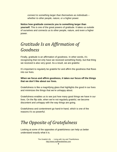*connect to something larger than themselves as individuals – whether to other people, nature, or a higher power.*

#### **Notice how gratitude connects you to something larger than**

**yourself.** This is one of the great powers of gratitude. It takes us outside of ourselves and connects us to other people, nature, and even a higher power.

### *Gratitude Is an Affirmation of Goodness*

Finally, gratitude is an affirmation of goodness. In other words, it's recognizing that not only have we received something freely, but that thing we received is also very good. As a result, we are grateful.

It's important to regularly be grateful for and affirm the goodness that flows into our lives.

#### **When we focus and affirm goodness, it takes our focus off the things that we don't like about our lives.**

Gratefulness is like a magnifying glass that highlights the good in our lives and minimizes the things that we're unhappy about.

Gratefulness enables us to see just how many good things we have in our lives. On the flip side, when we're not regularly grateful, we become discontent and unhappy with the way things are going.

Gratefulness and contentment go hand-in-hand, which is one of the reasons it's so powerful.

### *The Opposite of Gratefulness*

Looking at some of the opposites of gratefulness can help us better understand exactly what it is.

> The Grateful Life - Living with Joy and Thankfulness [http://www.mylifeandwishes.com](http://www.mylifeandwishes.com/)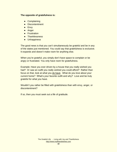#### **The opposite of gratefulness is:**

- Complaining
- Discontentment
- Envy
- Anger
- Frustration
- Thanklessness
- Unhappiness

The good news is that you can't simultaneously be grateful and be in any of the states just mentioned. You could say that gratefulness is exclusive. It expands and doesn't make room for anything else.

When you're grateful, you simply don't have space to complain or be angry or frustrated. You only have room for gratefulness.

Example; Have you ever driven by a house that you really wished you had? Or saw an outfit you really wished you could afford? Rather than focus on that, look at what you do have. What do you love about your current home? What's your favorite outfit and why? Love and be truly grateful for what you have.

Wouldn't you rather be filled with gratefulness than with envy, anger, or discontentment?

If so, then you must seek out a life of gratitude.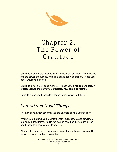

## Chapter 2: The Power of Gratitude

Gratitude is one of the most powerful forces in the universe. When you tap into the power of gratitude, incredible things begin to happen. Things you never would've expected.

Gratitude is not simply good manners. Rather, **when you're consistently grateful, it has the power to completely revolutionize your life.**

Consider these good things that happen when you're grateful…

### *You Attract Good Things*

The Law of Attraction says that you attract more of what you focus on.

When you're grateful, you are intentionally, purposefully, and powerfully focused on good things. You're focused on how thankful you are for the good things that have come into your life.

All your attention is given to the good things that are flowing into your life. You're receiving good and giving thanks.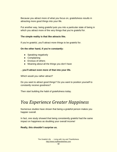Because you attract more of what you focus on, gratefulness results in attracting more good things into your life.

Put another way, being grateful puts you into a particular state of being in which you attract more of the very things that you're grateful for.

#### **The simple reality is that like attracts like.**

If you're grateful, you'll attract more things to be grateful for.

#### **On the other hand, if you're constantly:**

- Speaking negatively
- Complaining
- Envious of others
- Moaning about all the things you don't have

#### ...**you'll attract even more of that into your life.**

Which would you rather attract?

Do you want to attract good things? Do you want to position yourself to constantly receive goodness?

Then start building the habit of gratefulness today.

### *You Experience Greater Happiness*

Numerous studies have shown that being a grateful person makes you happier overall.

In fact, one study showed that being consistently grateful had the same impact on happiness as doubling your overall income!

#### **Really, this shouldn't surprise us.**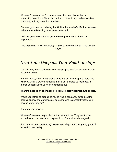When we're grateful, we're focused on all the good things that are happening in our lives. We're focused on positive things and not wasting our energy griping about the negative.

Our energy is devoted to being thankful for the wonderful life that we have rather than the few things that we wish we had.

#### **And the good news is that gratefulness produces a "loop" of happiness.**

*We're grateful* → *We feel happy* → *So we're more grateful* → *So we feel happier*

### *Gratitude Deepens Your Relationships*

A 2014 study found that when we thank people, it makes them want to be around us more.

In other words, if you're grateful to people, they want to spend more time with you. After all, when someone thanks us, it makes us feel good. It makes us feel like we've helped someone out.

#### **Thankfulness is an exchange of positive energy between two people.**

Would you rather be around someone who is constantly putting out the positive energy of gratefulness or someone who is constantly stewing in how unhappy they are?

The answer is obvious.

When we're grateful to people, it attracts them to us. They want to be around us and develop friendships with us. Gratefulness is magnetic.

If you want to start developing deeper friendships, start being truly grateful for and to them today.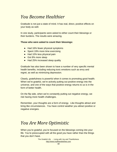### *You Become Healthier*

Gratitude is not just a state of mind. It has real, direct, positive effects on your body as well.

In one study, participants were asked to either count their blessings or their burdens. The results were amazing.

#### **Those who were asked to count their blessings:**

- Had 16% fewer physical symptoms
- Spent 19% more time exercising
- Had 10% less physical pain
- Got 8% more sleep
- Had 25% increased sleep quality

Gratitude has also been shown to have a number of very specific mental health benefits, including reducing toxic emotions such as envy and regret, as well as minimizing depression.

Clearly, gratefulness is powerful when it comes to promoting good health. When we're grateful, we're actively putting out positive energy into the universe, and one of the ways that positive energy returns to us is in the form of better health.

On the flip side, when we're constantly putting out negative energy, we risk having more health challenges.

Remember, your thoughts are a form of energy. Like thoughts attract and bring like circumstances. You have control weather you attract positive or negative energies.

### *You Are More Optimistic*

When you're grateful, you're focused on the blessings coming into your life. You're preoccupied with all the good you have rather than the things that you don't have.

> The Grateful Life - Living with Joy and Thankfulness [http://www.mylifeandwishes.com](http://www.mylifeandwishes.com/)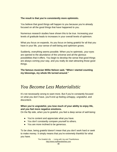#### **The result is that you're consistently more optimistic.**

You believe that good things will happen to you because you're already focused on all the good things that have happened to you.

Numerous research studies have shown this to be true. Increasing your levels of gratitude leads to increases in your overall levels of optimism.

What you focus on expands. As you focus on being grateful for all that you have in your life, your sense of well-being and optimism grows.

Suddenly, everything seems possible. When you're optimistic, your eyes are opened to the abundance of the universe and all the glorious possibilities that it offers. You begin to develop the sense that good things are always coming your way, and you really do start attracting those good things.

**The famous musician Willie Nelson said, "When I started counting my blessings, my whole life turned around."**

### *You Become Less Materialistic*

It's not necessarily wrong to want more. But if you're constantly focused on what you don't have, you'll end up feeling unhappy, ungrateful, and discontent.

#### **When you're ungrateful, you lose much of your ability to enjoy life, and you feel more negative emotions.**

On the flip side, when you're grateful, you feel a deep sense of well-being:

- You're content and appreciate what you have.
- You don't constantly compare yourself to others.
- You are more inclined to be generous.

To be clear, being grateful doesn't mean that you don't work hard or seek to make money. It simply means that you're extremely thankful for what you have.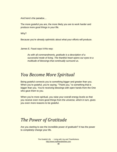And here's the paradox…

The more grateful you are, the more likely you are to work harder and produce more good things in your life.

Why?

Because you're already optimistic about what your efforts will produce.

James E. Faust says it this way:

*As with all commandments, gratitude is a description of a successful mode of living. The thankful heart opens our eyes to a multitude of blessings that continually surround us.*

### *You Become More Spiritual*

Being grateful connects you to something bigger and greater than you. When you're grateful, you're saying, "Thank you," to something that is bigger than you. You're receiving blessings with open hands from the One who gave them to you.

When you're more spiritual, you raise your overall energy levels so that you receive even more good things from the universe, which in turn, gives you even more reasons to be grateful.

### *The Power of Gratitude*

Are you starting to see the incredible power of gratitude? It has the power to *completely* change your life.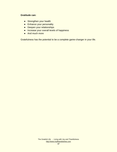#### **Gratitude can:**

- Strengthen your health
- **•** Enhance your personality
- Deepen your relationships
- Increase your overall levels of happiness
- And much more

Gratefulness has the potential to be a complete game-changer in your life.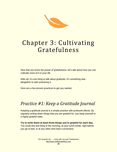

## Chapter 3: Cultivating Gratefulness

Now that you know the power of gratefulness, let's talk about *how* you can cultivate more of it in your life.

After all, it's one thing to talk about gratitude. It's something else altogether to start practicing it.

Here are a few proven practices to get you started.

### *Practice #1: Keep a Gratitude Journal*

Keeping a gratitude journal is a simple practice with profound effects. By regularly *writing down* things that you are grateful for, you keep yourself in a highly grateful state.

**Try to write down at least three things you're grateful for each day.**

You could this first thing in the morning, at your lunch break, right before you go to bed, or at any other time that's convenient.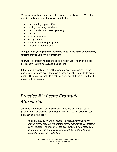When you're writing in your journal, avoid overcomplicating it. Write down anything and everything that you're grateful for:

- Your morning cup of coffee
- Holding your daughter's hand
- Your coworker who makes you laugh
- Your car
- A beautiful sunrise
- Having a home
- **Friendly, welcoming neighbors**
- The smell of fresh-cut grass

#### **The goal with your gratitude journal is to be in the habit of constantly noticing things you can be grateful for.**

You want to constantly notice the good things in your life, even if those things seem relatively small and insignificant.

If the thought of writing in a gratitude journal every day seems like too much, write in it once every few days or once a week. Simply try to make it a habit. The more you get into a habit of being grateful, the easier it will be to constantly be grateful.

### *Practice #2: Recite Gratitude Affirmations*

Gratitude affirmations work in two ways. First, you affirm that you're grateful for things that you have *already received*. So, for example, you might say something like:

*I'm so grateful for all the blessings I've received this week. I'm grateful for my new job. I'm grateful for my friendships. I'm grateful for my children. I'm grateful for the delicious meal I ate last night. I am grateful for the good nights sleep I got. I'm grateful for this wonderful cup of tea I'm drinking.*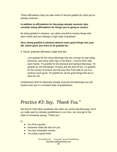These affirmations help you take notice of and be grateful for what you've already received.

#### **In addition to affirmations for blessings already received, also consider doing affirmations for things you're going to receive.**

By being grateful in advance, you allow yourself to receive things with open hands and you maintain a high state of gratitude.

#### **Also, being grateful in advance attracts more good things into your life, which gives you more to be grateful for.**

A "future" gratitude affirmation might look like:

*I am grateful for the many blessings that are coming my way today, tomorrow, and every other day in the future. I receive them with open hands. I'm grateful for the physical and spiritual blessings. I'm grateful for the friendships I'll enjoy and the food I'll eat. I'm grateful for the money I'll receive and the way that I'll be able to use it to achieve much good. I'm grateful for all the good things that are in store for me.* 

Gratefulness both for blessings already received and blessings you will receive puts you in a constant state of gratefulness.

### *Practice #3: Say, Thank You."*

We tend to think about gratitude only when we receive big blessings, but if we really want to cultivate gratefulness in our lives, we must get in the habit of *constantly* saying, "Thank you."

If…

- You find a quarter
- Someone holds the door for you
- You see a beautiful sunrise
- You enjoy a good meal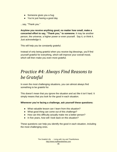- Someone gives you a hug
- You're just having a good day

...say, "Thank you."

**Anytime you receive anything good, no matter how small, make a concerted effort to say, "Thank you," to someone.** It may be another person, the universe, a higher power or even yourself. Say it, or think it. Just acknowledge it.

This will help you be constantly grateful.

Instead of only being grateful when you receive big blessings, you'll find yourself grateful for everything, which will improve your overall mood, which will then make you even more grateful.

### *Practice #4: Always Find Reasons to be Grateful*

In even the most challenging situations, you can almost always find something to be grateful for.

This doesn't mean that you ignore the situation and act like it isn't hard. It simply means that you look for the good in each situation.

#### **Whenever you're facing a challenge, ask yourself these questions:**

- What valuable lesson can I learn from this situation?
- What good thing can come out of this challenge?
- How can this difficulty actually make me a better person?
- In five years, how will I look back on this situation?

These questions can help you identify the good in each situation, including the most challenging ones.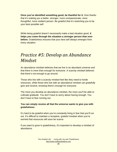**Once you've identified something good, be thankful for it.** Give thanks that it's making you a better, stronger, more compassionate, more thoughtful, more resilient person. Be grateful that it's stretching you to be your best possible self.

While being grateful doesn't necessarily make a bad situation good, **it helps you come through the situation a stronger person than ever before.** Gratefulness ensures that your best self always emerges from every situation.

### *Practice #5: Develop an Abundance Mindset*

An abundance mindset believes that we live in an abundant universe and that there is more than enough for everyone. A scarcity mindset believes that there's not enough to go around.

Those who live with a scarcity mindset feel like they need to horde resources, while those who live with an abundance mindset can gratefully give and receive, knowing there's enough for everyone.

The more you develop an abundance mindset, the more you'll be able to cultivate gratitude. You don't have to worry about having enough. You don't have to fear running out.

#### **You can simply receive all that the universe wants to give you with gratefulness.**

It's hard to be grateful when you're constantly living in fear that you'll run out. It's difficult to maintain a receptive, grateful mindset when you're worried that resources will soon be scarce.

If you want to grow in gratefulness, it's important to develop a mindset of abundance.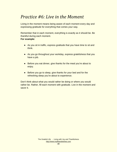### *Practice #6: Live in the Moment*

Living in the moment means being aware of each moment every day and expressing gratitude for everything that comes your way.

Remember that in each moment, everything is exactly as it should be. Be thankful during each moment.

#### **For example:**

- As you sit in traffic, express gratitude that you have time to sit and think.
- As you go throughout your workday, express gratefulness that you have a job.
- Before you eat dinner, give thanks for the meal you're about to enjoy.
- Before you go to sleep, give thanks for your bed and for the refreshing sleep you're about to experience.

Don't think about what you would rather be doing or where you would rather be. Rather, fill each moment with gratitude. Live in the moment and savor it.